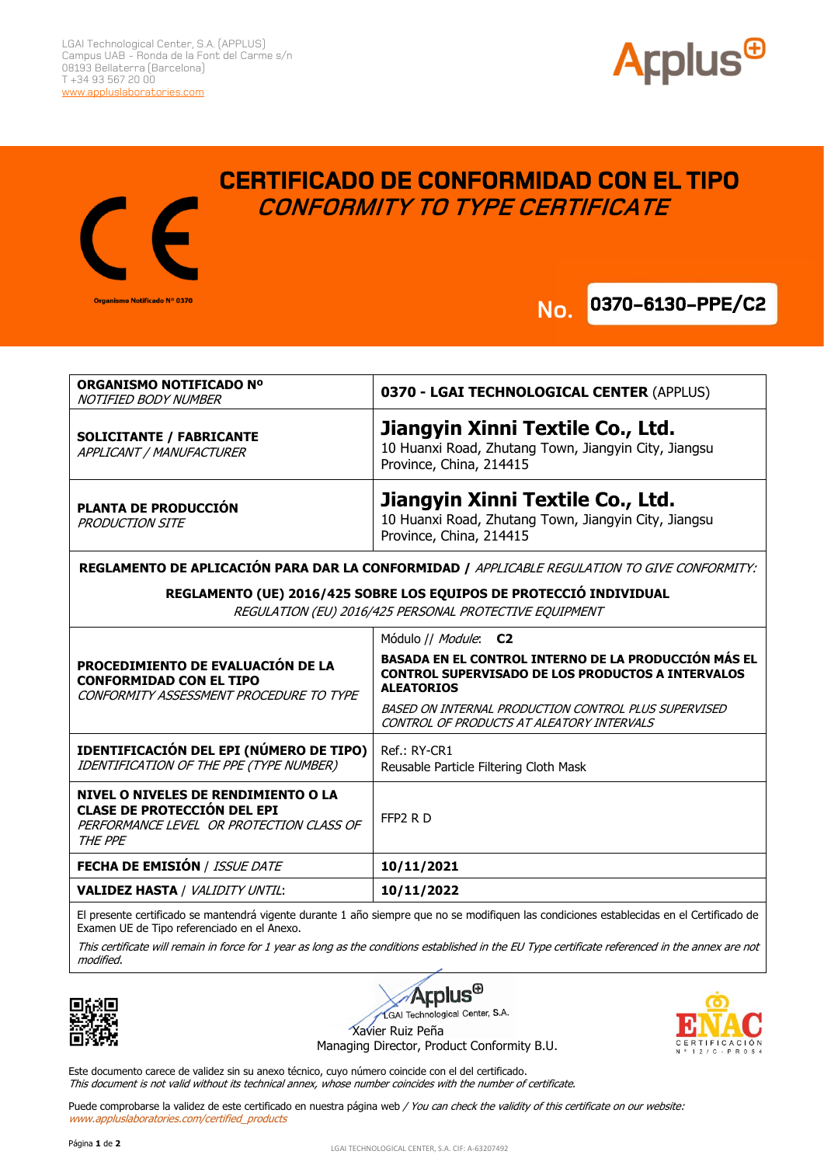

**0370-6130-PPE/C2** 



## **CERTIFICADO DE CONFORMIDAD CON EL TIPO CONFORMITY TO TYPE CERTIFICATE**

**No.**

| ORGANISMO NOTIFICADO Nº<br>NOTIFIED BODY NUMBER                                                                              | 0370 - LGAI TECHNOLOGICAL CENTER (APPLUS)                                                                                             |
|------------------------------------------------------------------------------------------------------------------------------|---------------------------------------------------------------------------------------------------------------------------------------|
| <b>SOLICITANTE / FABRICANTE</b><br>APPLICANT / MANUFACTURER                                                                  | Jiangyin Xinni Textile Co., Ltd.<br>10 Huanxi Road, Zhutang Town, Jiangyin City, Jiangsu<br>Province, China, 214415                   |
| PLANTA DE PRODUCCIÓN<br><b>PRODUCTION SITE</b>                                                                               | Jiangyin Xinni Textile Co., Ltd.<br>10 Huanxi Road, Zhutang Town, Jiangyin City, Jiangsu<br>Province, China, 214415                   |
| REGLAMENTO DE APLICACIÓN PARA DAR LA CONFORMIDAD / APPLICABLE REGULATION TO GIVE CONFORMITY:                                 |                                                                                                                                       |
| REGLAMENTO (UE) 2016/425 SOBRE LOS EQUIPOS DE PROTECCIÓ INDIVIDUAL<br>REGULATION (EU) 2016/425 PERSONAL PROTECTIVE EQUIPMENT |                                                                                                                                       |
| PROCEDIMIENTO DE EVALUACIÓN DE LA<br><b>CONFORMIDAD CON EL TIPO</b><br>CONFORMITY ASSESSMENT PROCEDURE TO TYPE               | Módulo // Module: C2                                                                                                                  |
|                                                                                                                              | BASADA EN EL CONTROL INTERNO DE LA PRODUCCIÓN MÁS EL<br><b>CONTROL SUPERVISADO DE LOS PRODUCTOS A INTERVALOS</b><br><b>ALEATORIOS</b> |
|                                                                                                                              | BASED ON INTERNAL PRODUCTION CONTROL PLUS SUPERVISED<br>CONTROL OF PRODUCTS AT ALEATORY INTERVALS                                     |
| IDENTIFICACIÓN DEL EPI (NÚMERO DE TIPO)<br>IDENTIFICATION OF THE PPE (TYPE NUMBER)                                           | Ref.: RY-CR1<br>Reusable Particle Filtering Cloth Mask                                                                                |
| NIVEL O NIVELES DE RENDIMIENTO O LA<br><b>CLASE DE PROTECCIÓN DEL EPI</b><br>PERFORMANCE LEVEL OR PROTECTION CLASS OF        | FFP <sub>2</sub> RD                                                                                                                   |

THE PPE **FECHA DE EMISIÓN** / ISSUE DATE **10/11/2021 VALIDEZ HASTA** / VALIDITY UNTIL: **10/11/2022**

El presente certificado se mantendrá vigente durante 1 año siempre que no se modifiquen las condiciones establecidas en el Certificado de Examen UE de Tipo referenciado en el Anexo.

This certificate will remain in force for 1 year as long as the conditions established in the EU Type certificate referenced in the annex are not modified.





Managing Director, Product Conformity B.U.

Este documento carece de validez sin su anexo técnico, cuyo número coincide con el del certificado. This document is not valid without its technical annex, whose number coincides with the number of certificate.

Puede comprobarse la validez de este certificado en nuestra página web / You can check the validity of this certificate on our website: www.appluslaboratories.com/certified\_products